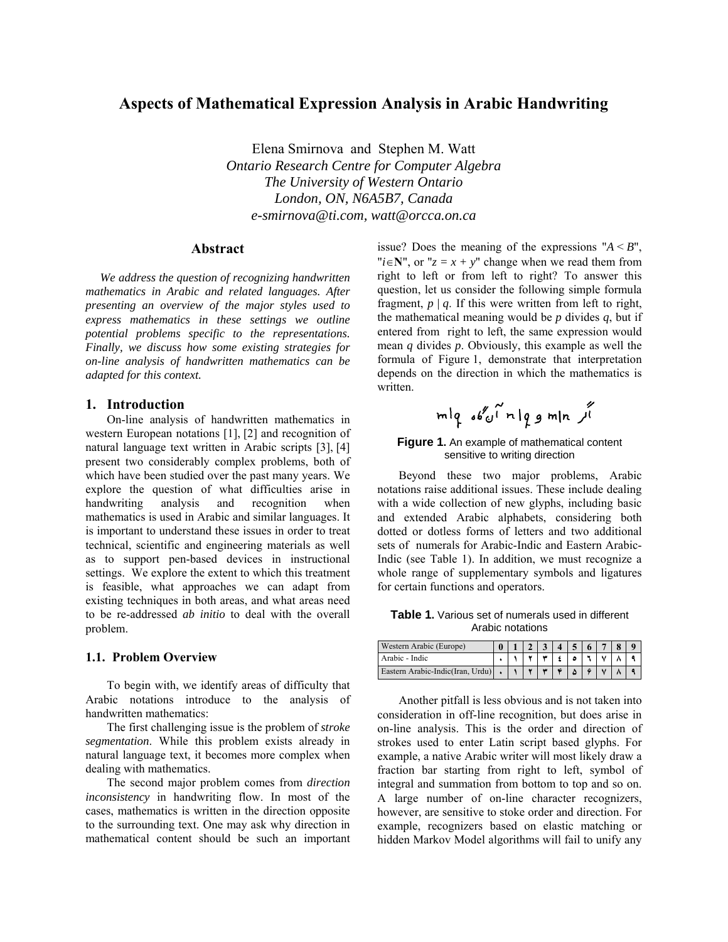# **Aspects of Mathematical Expression Analysis in Arabic Handwriting**

Elena Smirnova and Stephen M. Watt *Ontario Research Centre for Computer Algebra The University of Western Ontario London, ON, N6A5B7, Canada e-smirnova@ti.com, watt@orcca.on.ca* 

# **Abstract**

*We address the question of recognizing handwritten mathematics in Arabic and related languages. After presenting an overview of the major styles used to express mathematics in these settings we outline potential problems specific to the representations. Finally, we discuss how some existing strategies for on-line analysis of handwritten mathematics can be adapted for this context.* 

### **1. Introduction**

<span id="page-0-0"></span>On-line analysis of handwritten mathematics in western European notations [\[1\],](#page-4-0) [\[2\]](#page-4-1) and recognition of natural language text written in Arabic scripts [\[3\],](#page-4-2) [\[4\]](#page-4-3) present two considerably complex problems, both of which have been studied over the past many years. We explore the question of what difficulties arise in handwriting analysis and recognition when mathematics is used in Arabic and similar languages. It is important to understand these issues in order to treat technical, scientific and engineering materials as well as to support pen-based devices in instructional settings. We explore the extent to which this treatment is feasible, what approaches we can adapt from existing techniques in both areas, and what areas need to be re-addressed *ab initio* to deal with the overall problem.

### <span id="page-0-2"></span><span id="page-0-1"></span>**1.1. Problem Overview**

To begin with, we identify areas of difficulty that Arabic notations introduce to the analysis of handwritten mathematics:

The first challenging issue is the problem of *stroke segmentation*. While this problem exists already in natural language text, it becomes more complex when dealing with mathematics.

The second major problem comes from *direction inconsistency* in handwriting flow. In most of the cases, mathematics is written in the direction opposite to the surrounding text. One may ask why direction in mathematical content should be such an important issue? Does the meaning of the expressions " $A \leq B$ ", " $i \in \mathbb{N}$ ", or " $z = x + y$ " change when we read them from right to left or from left to right? To answer this question, let us consider the following simple formula fragment,  $p / q$ . If this were written from left to right, the mathematical meaning would be *p* divides *q*, but if entered from right to left, the same expression would mean *q* divides *p*. Obviously, this example as well the formula of [Figure 1,](#page-0-0) demonstrate that interpretation depends on the direction in which the mathematics is written.

#### **Figure 1.** An example of mathematical content sensitive to writing direction

Beyond these two major problems, Arabic notations raise additional issues. These include dealing with a wide collection of new glyphs, including basic and extended Arabic alphabets, considering both dotted or dotless forms of letters and two additional sets of numerals for Arabic-Indic and Eastern Arabic-Indic (see [Table 1](#page-0-1)). In addition, we must recognize a whole range of supplementary symbols and ligatures for certain functions and operators.

**Table 1.** Various set of numerals used in different Arabic notations

| Western Arabic (Europe)          |  |  | $4 \mid 5$ |  |  |
|----------------------------------|--|--|------------|--|--|
| Arabic - Indic                   |  |  |            |  |  |
| Eastern Arabic-Indic(Iran, Urdu) |  |  |            |  |  |

Another pitfall is less obvious and is not taken into consideration in off-line recognition, but does arise in on-line analysis. This is the order and direction of strokes used to enter Latin script based glyphs. For example, a native Arabic writer will most likely draw a fraction bar starting from right to left, symbol of integral and summation from bottom to top and so on. A large number of on-line character recognizers, however, are sensitive to stoke order and direction. For example, recognizers based on elastic matching or hidden Markov Model algorithms will fail to unify any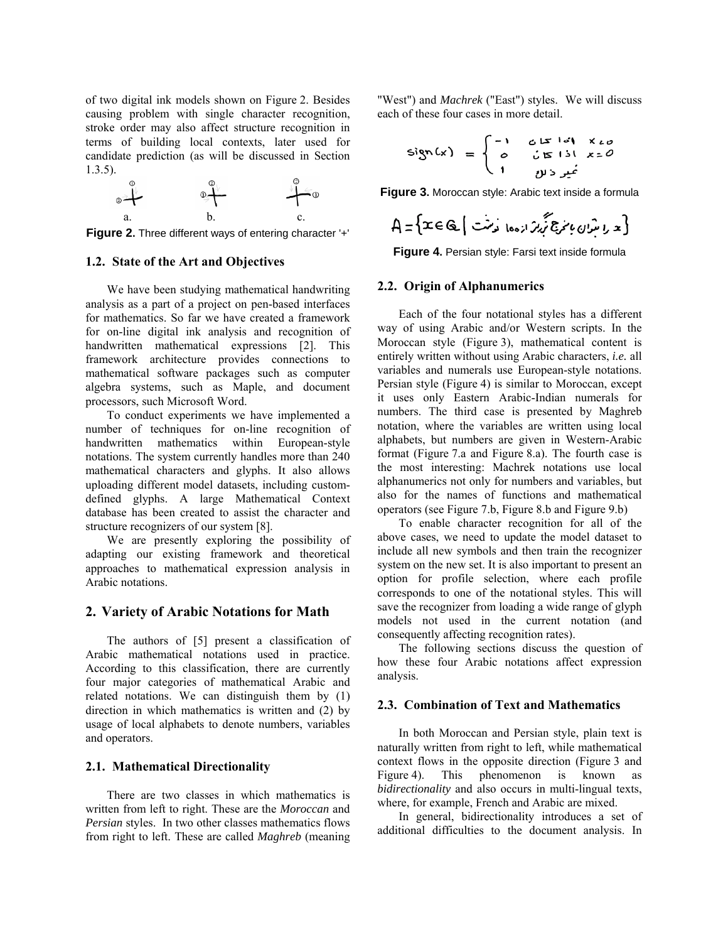of two digital ink models shown on [Figure 2](#page-1-0). Besides causing problem with single character recognition, stroke order may also affect structure recognition in terms of building local contexts, later used for candidate prediction (as will be discussed in Section [1.3.5](#page-4-4)).



<span id="page-1-1"></span><span id="page-1-0"></span>**Figure 2.** Three different ways of entering character '+'

# <span id="page-1-2"></span>**1.2. State of the Art and Objectives**

We have been studying mathematical handwriting analysis as a part of a project on pen-based interfaces for mathematics. So far we have created a framework for on-line digital ink analysis and recognition of handwritten mathematical expressions [\[2\].](#page-4-1) This framework architecture provides connections to mathematical software packages such as computer algebra systems, such as Maple, and document processors, such Microsoft Word.

To conduct experiments we have implemented a number of techniques for on-line recognition of handwritten mathematics within European-style notations. The system currently handles more than 240 mathematical characters and glyphs. It also allows uploading different model datasets, including customdefined glyphs. A large Mathematical Context database has been created to assist the character and structure recognizers of our system [\[8\]](#page-4-5).

We are presently exploring the possibility of adapting our existing framework and theoretical approaches to mathematical expression analysis in Arabic notations.

### **2. Variety of Arabic Notations for Math**

The authors of [\[5\]](#page-4-6) present a classification of Arabic mathematical notations used in practice. According to this classification, there are currently four major categories of mathematical Arabic and related notations. We can distinguish them by (1) direction in which mathematics is written and (2) by usage of local alphabets to denote numbers, variables and operators.

### **2.1. Mathematical Directionality**

There are two classes in which mathematics is written from left to right. These are the *Moroccan* and *Persian* styles. In two other classes mathematics flows from right to left. These are called *Maghreb* (meaning

"West") and *Machrek* ("East") styles. We will discuss each of these four cases in more detail.

$$
e^{i\lambda} f^{i\lambda} f^{j\lambda} = \begin{cases} -1 & \text{if } i \neq i, \\ 0 & \text{if } i \neq j. \end{cases}
$$

**Figure 3.** Moroccan style: Arabic text inside a formula

$$
A = \{x \in \mathbb{Q} \mid \text{true} \mid \text{true} \mid \text{true} \}
$$

**Figure 4.** Persian style: Farsi text inside formula

#### **2.2. Origin of Alphanumerics**

Each of the four notational styles has a different way of using Arabic and/or Western scripts. In the Moroccan style ([Figure 3](#page-1-1)), mathematical content is entirely written without using Arabic characters, *i.e.* all variables and numerals use European-style notations. Persian style ([Figure 4](#page-1-2)) is similar to Moroccan, except it uses only Eastern Arabic-Indian numerals for numbers. The third case is presented by Maghreb notation, where the variables are written using local alphabets, but numbers are given in Western-Arabic format [\(Figure 7](#page-2-0).a and [Figure 8.](#page-2-1)a). The fourth case is the most interesting: Machrek notations use local alphanumerics not only for numbers and variables, but also for the names of functions and mathematical operators (see [Figure 7.](#page-2-0)b, [Figure 8](#page-2-1).b and [Figure 9](#page-2-2).b)

To enable character recognition for all of the above cases, we need to update the model dataset to include all new symbols and then train the recognizer system on the new set. It is also important to present an option for profile selection, where each profile corresponds to one of the notational styles. This will save the recognizer from loading a wide range of glyph models not used in the current notation (and consequently affecting recognition rates).

The following sections discuss the question of how these four Arabic notations affect expression analysis.

### **2.3. Combination of Text and Mathematics**

In both Moroccan and Persian style, plain text is naturally written from right to left, while mathematical context flows in the opposite direction ([Figure 3](#page-1-1) and [Figure 4](#page-1-2)). This phenomenon is known as *bidirectionality* and also occurs in multi-lingual texts, where, for example, French and Arabic are mixed.

In general, bidirectionality introduces a set of additional difficulties to the document analysis. In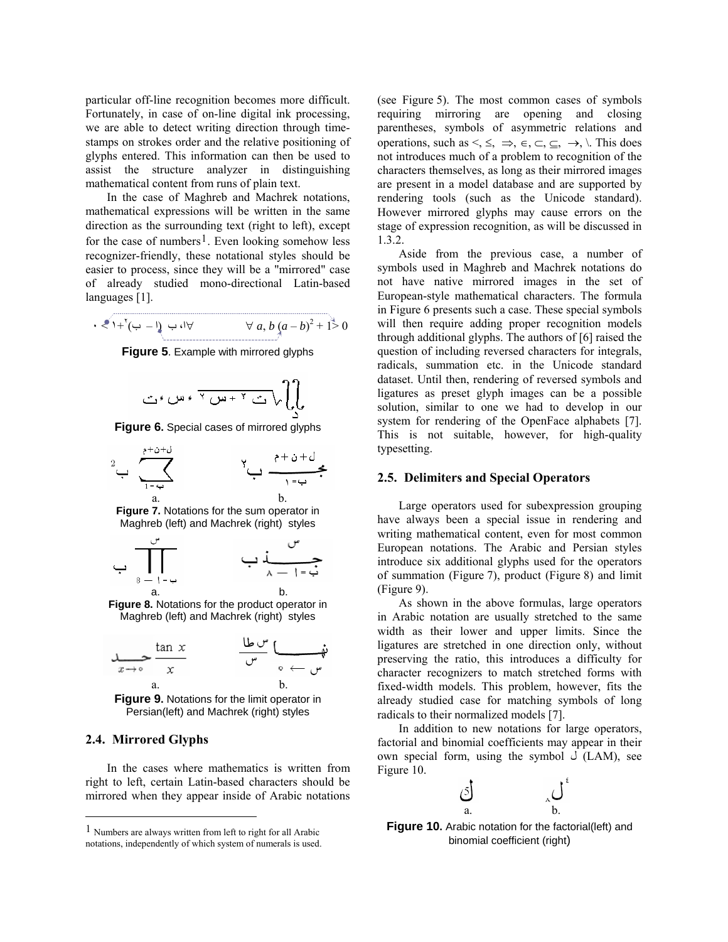particular off-line recognition becomes more difficult. Fortunately, in case of on-line digital ink processing, we are able to detect writing direction through timestamps on strokes order and the relative positioning of glyphs entered. This information can then be used to assist the structure analyzer in distinguishing mathematical content from runs of plain text.

In the case of Maghreb and Machrek notations, mathematical expressions will be written in the same direction as the surrounding text (right to left), except for the case of numbers<sup>[1](#page-2-3)</sup>. Even looking somehow less recognizer-friendly, these notational styles should be easier to process, since they will be a "mirrored" case of already studied mono-directional Latin-based languages [\[1\]](#page-4-0).

<span id="page-2-4"></span> $\forall a, b (a-b)^2 + 1 > 0$  +  $\forall a, b (a-b)^2 + 1 > 0$ 

**Figure 5**. Example with mirrored glyphs

$$
\bigcap_{i=1}^r \bigcap_{j=1}^r \mathcal{F}_i \mathcal{F}_j \mathcal{F}_j \mathcal{F}_j \mathcal{F}_j \mathcal{F}_j \mathcal{F}_j \mathcal{F}_j \mathcal{F}_j \mathcal{F}_j \mathcal{F}_j \mathcal{F}_j \mathcal{F}_j \mathcal{F}_j \mathcal{F}_j \mathcal{F}_j \mathcal{F}_j \mathcal{F}_j \mathcal{F}_j \mathcal{F}_j \mathcal{F}_j \mathcal{F}_j \mathcal{F}_j \mathcal{F}_j \mathcal{F}_j \mathcal{F}_j \mathcal{F}_j \mathcal{F}_j \mathcal{F}_j \mathcal{F}_j \mathcal{F}_j \mathcal{F}_j \mathcal{F}_j \mathcal{F}_j \mathcal{F}_j \mathcal{F}_j \mathcal{F}_j \mathcal{F}_j \mathcal{F}_j \mathcal{F}_j \mathcal{F}_j \mathcal{F}_j \mathcal{F}_j \mathcal{F}_j \mathcal{F}_j \mathcal{F}_j \mathcal{F}_j \mathcal{F}_j \mathcal{F}_j \mathcal{F}_j \mathcal{F}_j \mathcal{F}_j \mathcal{F}_j \mathcal{F}_j \mathcal{F}_j \mathcal{F}_j \mathcal{F}_j \mathcal{F}_j \mathcal{F}_j \mathcal{F}_j \mathcal{F}_j \mathcal{F}_j \mathcal{F}_j \mathcal{F}_j \mathcal{F}_j \mathcal{F}_j \mathcal{F}_j \mathcal{F}_j \mathcal{F}_j \mathcal{F}_j \mathcal{F}_j \mathcal{F}_j \mathcal{F}_j \mathcal{F}_j \mathcal{F}_j \mathcal{F}_j \mathcal{F}_j \mathcal{F}_j \mathcal{F}_j \mathcal{F}_j \mathcal{F}_j \mathcal{F}_j \mathcal{F}_j \mathcal{F}_j \mathcal{F}_j \mathcal{F}_j \mathcal{F}_j \mathcal{F}_j \mathcal{F}_j \mathcal{F}_j \mathcal{F}_j \mathcal{F}_j \mathcal{F}_j \mathcal{F}_j \mathcal{F}_j \mathcal{F}_j \mathcal{F}_j \mathcal{F}_j \mathcal{F}_j \mathcal{F}_j \mathcal{F}_j \mathcal{F}_j \mathcal{F}_j \mathcal{F}_j \mathcal{F}_j \mathcal{F
$$

<span id="page-2-5"></span>**Figure 6.** Special cases of mirrored glyphs

<span id="page-2-8"></span>
$$
2 \rightarrow \sum_{1 \rightarrow 4 \atop a}^{b + b + b} \leftarrow
$$

**Figure 7.** Notations for the sum operator in Maghreb (left) and Machrek (right) styles

<span id="page-2-0"></span>

<span id="page-2-1"></span>**Figure 8.** Notations for the product operator in Maghreb (left) and Machrek (right) styles

$$
\lim_{x \to 0} \frac{\tan x}{x} \qquad \qquad \frac{\frac{\ln x}{\sqrt{1 - \frac{1}{x}}} \left(\frac{\pi}{\sqrt{1 - \frac{1}{x}}} \right)}{x}
$$

**Figure 9.** Notations for the limit operator in Persian(left) and Machrek (right) styles

## <span id="page-2-7"></span><span id="page-2-2"></span>**2.4. Mirrored Glyphs**

 $\overline{a}$ 

In the cases where mathematics is written from right to left, certain Latin-based characters should be mirrored when they appear inside of Arabic notations (see [Figure 5](#page-2-4)). The most common cases of symbols requiring mirroring are opening and closing parentheses, symbols of asymmetric relations and operations, such as  $\leq, \leq, \Rightarrow, \in, \subseteq, \rightarrow, \mathcal{S}$ . This does not introduces much of a problem to recognition of the characters themselves, as long as their mirrored images are present in a model database and are supported by rendering tools (such as the Unicode standard). However mirrored glyphs may cause errors on the stage of expression recognition, as will be discussed in [1.3.2.](#page-3-0)

Aside from the previous case, a number of symbols used in Maghreb and Machrek notations do not have native mirrored images in the set of European-style mathematical characters. The formula in [Figure 6](#page-2-5) presents such a case. These special symbols will then require adding proper recognition models through additional glyphs. The authors of [\[6\]](#page-4-7) raised the question of including reversed characters for integrals, radicals, summation etc. in the Unicode standard dataset. Until then, rendering of reversed symbols and ligatures as preset glyph images can be a possible solution, similar to one we had to develop in our system for rendering of the OpenFace alphabets [\[7\].](#page-4-8) This is not suitable, however, for high-quality typesetting.

### **2.5. Delimiters and Special Operators**

Large operators used for subexpression grouping have always been a special issue in rendering and writing mathematical content, even for most common European notations. The Arabic and Persian styles introduce six additional glyphs used for the operators of summation [\(Figure 7\)](#page-2-0), product [\(Figure 8](#page-2-1)) and limit ([Figure 9\)](#page-2-2).

As shown in the above formulas, large operators in Arabic notation are usually stretched to the same width as their lower and upper limits. Since the ligatures are stretched in one direction only, without preserving the ratio, this introduces a difficulty for character recognizers to match stretched forms with fixed-width models. This problem, however, fits the already studied case for matching symbols of long radicals to their normalized models [\[7\].](#page-4-8)

In addition to new notations for large operators, factorial and binomial coefficients may appear in their own special form, using the symbol  $\bigcup$  (LAM), see [Figure 10](#page-2-6).

$$
\begin{array}{cc}\n\circ \\
a.\n\end{array}\n\qquad\n\begin{array}{cc}\n\circ \\
b.\n\end{array}
$$

**Figure 10.** Arabic notation for the factorial(left) and binomial coefficient (right)

<span id="page-2-6"></span><span id="page-2-3"></span><sup>1</sup> Numbers are always written from left to right for all Arabic notations, independently of which system of numerals is used.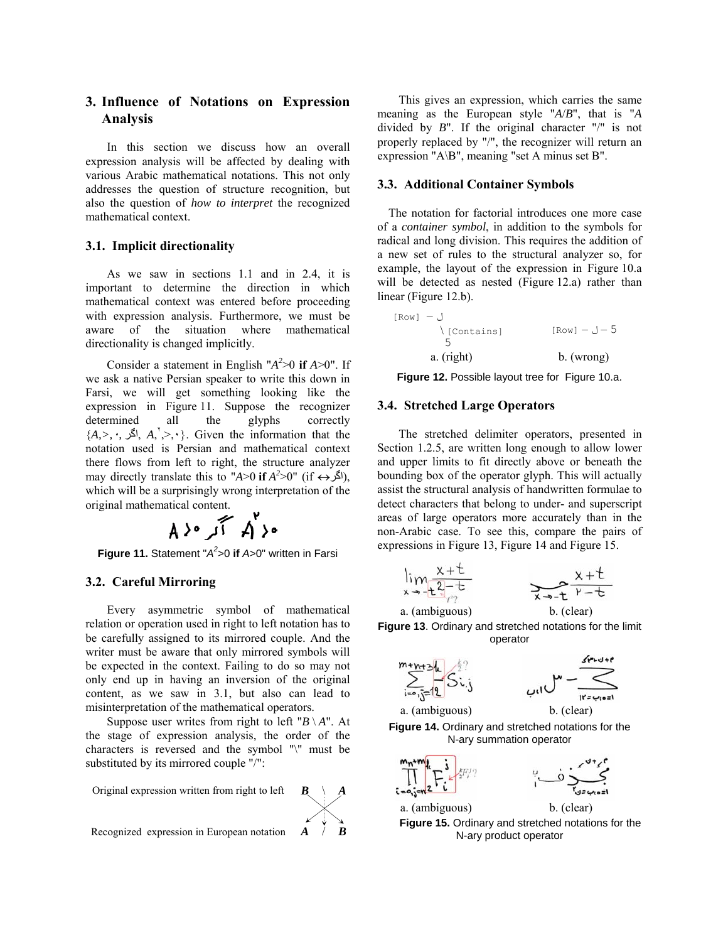# **3. Influence of Notations on Expression Analysis**

In this section we discuss how an overall expression analysis will be affected by dealing with various Arabic mathematical notations. This not only addresses the question of structure recognition, but also the question of *how to interpret* the recognized mathematical context.

# **3.1. Implicit directionality**

As we saw in sections [1.1](#page-0-2) and in [2.4](#page-2-7), it is important to determine the direction in which mathematical context was entered before proceeding with expression analysis. Furthermore, we must be aware of the situation where mathematical directionality is changed implicitly.

<span id="page-3-2"></span>Consider a statement in English " $A^2 > 0$  if  $A > 0$ ". If we ask a native Persian speaker to write this down in Farsi, we will get something looking like the expression in [Figure 11](#page-3-1). Suppose the recognizer determined all the glyphs correctly  ${A, >, \cdot, \mathcal{A}, \times, >, \cdot}$ . Given the information that the notation used is Persian and mathematical context there flows from left to right, the structure analyzer may directly translate this to "*A*>0 **if**  $A^2>0$ " (if  $\leftrightarrow$   $(A^2)$ ), which will be a surprisingly wrong interpretation of the original mathematical content.



**Figure 11.** Statement "*A2* >0 **if** *A*>0" written in Farsi

## <span id="page-3-1"></span><span id="page-3-0"></span>**3.2. Careful Mirroring**

<span id="page-3-3"></span>Every asymmetric symbol of mathematical relation or operation used in right to left notation has to be carefully assigned to its mirrored couple. And the writer must be aware that only mirrored symbols will be expected in the context. Failing to do so may not only end up in having an inversion of the original content, as we saw in 3.1, but also can lead to misinterpretation of the mathematical operators.

<span id="page-3-4"></span>Suppose user writes from right to left " $B \setminus A$ ". At the stage of expression analysis, the order of the characters is reversed and the symbol "\" must be substituted by its mirrored couple "/":

Original expression written from right to left

<span id="page-3-5"></span>



#### **3.3. Additional Container Symbols**

The notation for factorial introduces one more case of a *container symbol*, in addition to the symbols for radical and long division. This requires the addition of a new set of rules to the structural analyzer so, for example, the layout of the expression in [Figure 10](#page-2-6).a will be detected as nested ([Figure 12](#page-3-2).a) rather than linear [\(Figure 12](#page-3-2).b).

 ل – [Row[ \ [Contains] 5 5 – ل – [Row[ a. (right) b. (wrong)

**Figure 12.** Possible layout tree for [Figure 10](#page-2-6).a.

### **3.4. Stretched Large Operators**

The stretched delimiter operators, presented in Section [1.2.5](#page-2-8), are written long enough to allow lower and upper limits to fit directly above or beneath the bounding box of the operator glyph. This will actually assist the structural analysis of handwritten formulae to detect characters that belong to under- and superscript areas of large operators more accurately than in the non-Arabic case. To see this, compare the pairs of expressions in [Figure 13](#page-3-3), [Figure 14](#page-3-4) and [Figure 15](#page-3-5).

$$
\lim_{x \to -\frac{t^2}{2} - \frac{t}{2}}
$$
\n
$$
\lim_{x \to -\frac{t^2}{2} - \frac{t}{2}} \qquad \qquad \sum_{x \to -\frac{t}{2}} \frac{x + t}{y - t}
$$
\n  
\na (ambionous) b (clear)

a. (ambiguous)

$$
b. (clear)
$$

**Figure 13**. Ordinary and stretched notations for the limit operator





a. (ambiguous) b. (clear)

**Figure 14.** Ordinary and stretched notations for the N-ary summation operator



$$
\bigcup_{i=1}^n\sum_{i=1}^{n-k}
$$

a. (ambiguous) b. (clear)

**Figure 15.** Ordinary and stretched notations for the N-ary product operator